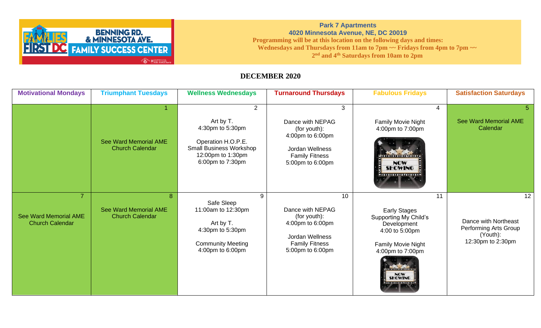

## **Park 7 Apartments 4020 Minnesota Avenue, NE, DC 20019 Programming will be at this location on the following days and times: Wednesdays and Thursdays from 11am to 7pm ~~ Fridays from 4pm to 7pm ~~ 2 nd and 4th Saturdays from 10am to 2pm**

## **DECEMBER 2020**

| <b>Motivational Mondays</b>                                              | <b>Triumphant Tuesdays</b>                                  | <b>Wellness Wednesdays</b>                                                                                                                       | <b>Turnaround Thursdays</b>                                                                                                             | <b>Fabulous Fridays</b>                                                                                                                                                       | <b>Satisfaction Saturdays</b>                                                                     |
|--------------------------------------------------------------------------|-------------------------------------------------------------|--------------------------------------------------------------------------------------------------------------------------------------------------|-----------------------------------------------------------------------------------------------------------------------------------------|-------------------------------------------------------------------------------------------------------------------------------------------------------------------------------|---------------------------------------------------------------------------------------------------|
|                                                                          | <b>See Ward Memorial AME</b><br><b>Church Calendar</b>      | $\overline{2}$<br>Art by T.<br>4:30pm to 5:30pm<br>Operation H.O.P.E.<br><b>Small Business Workshop</b><br>12:00pm to 1:30pm<br>6:00pm to 7:30pm | 3<br>Dance with NEPAG<br>(for youth):<br>4:00pm to 6:00pm<br>Jordan Wellness<br><b>Family Fitness</b><br>5:00pm to 6:00pm               | 4<br><b>Family Movie Night</b><br>4:00pm to 7:00pm<br><b>THE TELEVISION</b><br>NOW<br><b>SHOWING</b><br>                                                                      | <b>See Ward Memorial AME</b><br>Calendar                                                          |
| $\overline{7}$<br><b>See Ward Memorial AME</b><br><b>Church Calendar</b> | 8<br><b>See Ward Memorial AME</b><br><b>Church Calendar</b> | 9<br>Safe Sleep<br>11:00am to 12:30pm<br>Art by T.<br>4:30pm to 5:30pm<br><b>Community Meeting</b><br>4:00pm to 6:00pm                           | 10 <sup>1</sup><br>Dance with NEPAG<br>(for youth):<br>4:00pm to 6:00pm<br>Jordan Wellness<br><b>Family Fitness</b><br>5:00pm to 6:00pm | 11<br><b>Early Stages</b><br><b>Supporting My Child's</b><br>Development<br>4:00 to 5:00pm<br>Family Movie Night<br>4:00pm to 7:00pm<br>mnnnn<br><b>NOW</b><br><b>SHOWING</b> | 12 <sup>1</sup><br>Dance with Northeast<br>Performing Arts Group<br>(Youth):<br>12:30pm to 2:30pm |